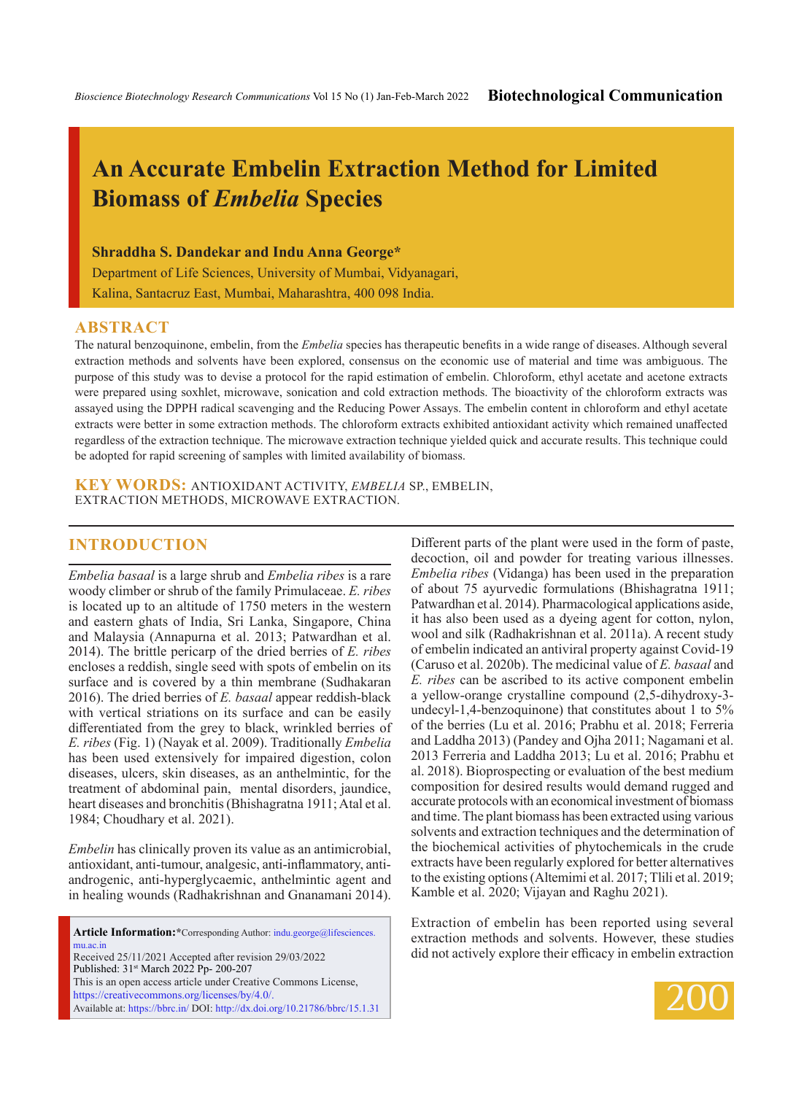# **An Accurate Embelin Extraction Method for Limited Biomass of** *Embelia* **Species**

#### **Shraddha S. Dandekar and Indu Anna George\***

Department of Life Sciences, University of Mumbai, Vidyanagari, Kalina, Santacruz East, Mumbai, Maharashtra, 400 098 India.

#### **ABSTRACT**

The natural benzoquinone, embelin, from the *Embelia* species has therapeutic benefits in a wide range of diseases. Although several extraction methods and solvents have been explored, consensus on the economic use of material and time was ambiguous. The purpose of this study was to devise a protocol for the rapid estimation of embelin. Chloroform, ethyl acetate and acetone extracts were prepared using soxhlet, microwave, sonication and cold extraction methods. The bioactivity of the chloroform extracts was assayed using the DPPH radical scavenging and the Reducing Power Assays. The embelin content in chloroform and ethyl acetate extracts were better in some extraction methods. The chloroform extracts exhibited antioxidant activity which remained unaffected regardless of the extraction technique. The microwave extraction technique yielded quick and accurate results. This technique could be adopted for rapid screening of samples with limited availability of biomass.

**KEY WORDS:** Antioxidant activity, *Embelia* sp., Embelin, Extraction methods, Microwave extraction.

## **INTRODUCTION**

*Embelia basaal* is a large shrub and *Embelia ribes* is a rare woody climber or shrub of the family Primulaceae. *E. ribes*  is located up to an altitude of 1750 meters in the western and eastern ghats of India, Sri Lanka, Singapore, China and Malaysia (Annapurna et al. 2013; Patwardhan et al. 2014). The brittle pericarp of the dried berries of *E. ribes*  encloses a reddish, single seed with spots of embelin on its surface and is covered by a thin membrane (Sudhakaran 2016). The dried berries of *E. basaal* appear reddish-black with vertical striations on its surface and can be easily differentiated from the grey to black, wrinkled berries of *E. ribes* (Fig. 1) (Nayak et al. 2009). Traditionally *Embelia*  has been used extensively for impaired digestion, colon diseases, ulcers, skin diseases, as an anthelmintic, for the treatment of abdominal pain, mental disorders, jaundice, heart diseases and bronchitis (Bhishagratna 1911; Atal et al. 1984; Choudhary et al. 2021).

*Embelin* has clinically proven its value as an antimicrobial, antioxidant, anti-tumour, analgesic, anti-inflammatory, antiandrogenic, anti-hyperglycaemic, anthelmintic agent and in healing wounds (Radhakrishnan and Gnanamani 2014).

Article Information:\*Corresponding Author: indu.george@lifesciences. mu.ac.in Received 25/11/2021 Accepted after revision 29/03/2022 Published: 31st March 2022 Pp- 200-207 This is an open access article under Creative Commons License, https://creativecommons.org/licenses/by/4.0/. Available at: https://bbrc.in/ DOI: http://dx.doi.org/10.21786/bbrc/15.1.31 Different parts of the plant were used in the form of paste, decoction, oil and powder for treating various illnesses. *Embelia ribes* (Vidanga) has been used in the preparation of about 75 ayurvedic formulations (Bhishagratna 1911; Patwardhan et al. 2014). Pharmacological applications aside, it has also been used as a dyeing agent for cotton, nylon, wool and silk (Radhakrishnan et al. 2011a). A recent study of embelin indicated an antiviral property against Covid-19 (Caruso et al. 2020b). The medicinal value of *E. basaal* and *E. ribes* can be ascribed to its active component embelin a yellow-orange crystalline compound (2,5-dihydroxy-3 undecyl-1,4-benzoquinone) that constitutes about 1 to 5% of the berries (Lu et al. 2016; Prabhu et al. 2018; Ferreria and Laddha 2013) (Pandey and Ojha 2011; Nagamani et al. 2013 Ferreria and Laddha 2013; Lu et al. 2016; Prabhu et al. 2018). Bioprospecting or evaluation of the best medium composition for desired results would demand rugged and accurate protocols with an economical investment of biomass and time. The plant biomass has been extracted using various solvents and extraction techniques and the determination of the biochemical activities of phytochemicals in the crude extracts have been regularly explored for better alternatives to the existing options (Altemimi et al. 2017; Tlili et al. 2019; Kamble et al. 2020; Vijayan and Raghu 2021).

Extraction of embelin has been reported using several extraction methods and solvents. However, these studies did not actively explore their efficacy in embelin extraction

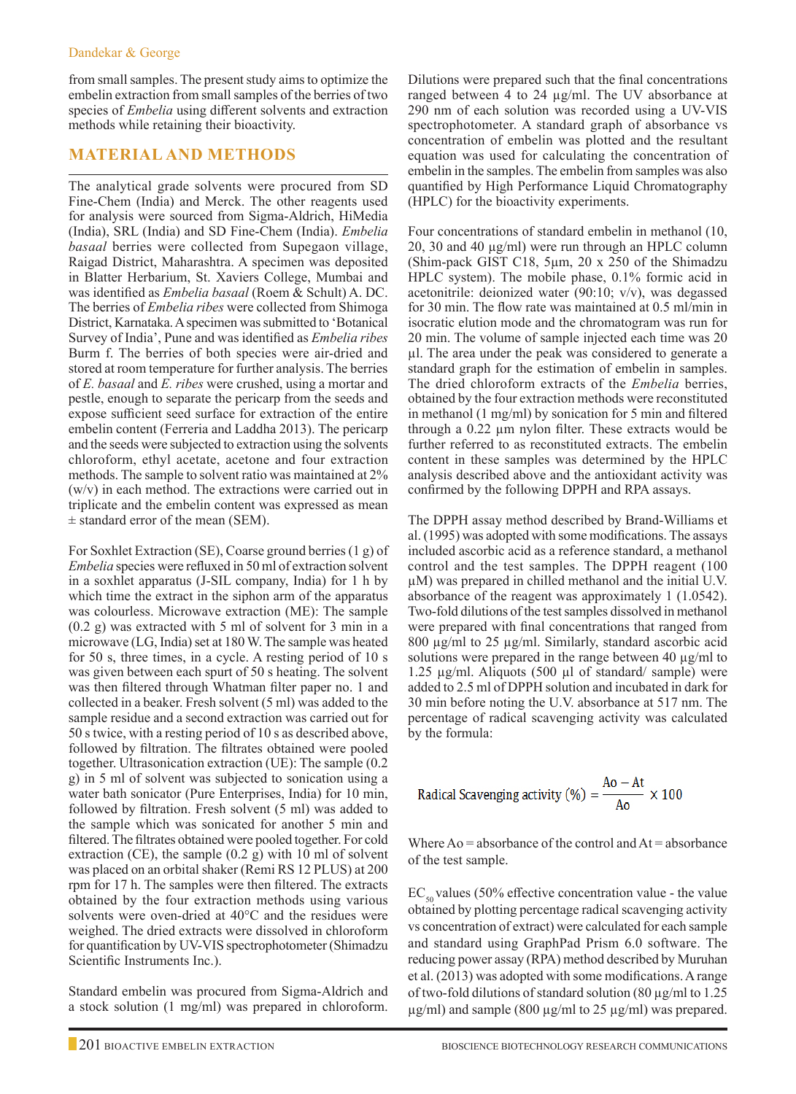from small samples. The present study aims to optimize the embelin extraction from small samples of the berries of two species of *Embelia* using different solvents and extraction methods while retaining their bioactivity.

# **Material and Methods**

The analytical grade solvents were procured from SD Fine-Chem (India) and Merck. The other reagents used for analysis were sourced from Sigma-Aldrich, HiMedia (India), SRL (India) and SD Fine-Chem (India). *Embelia basaal* berries were collected from Supegaon village, Raigad District, Maharashtra. A specimen was deposited in Blatter Herbarium, St. Xaviers College, Mumbai and was identified as *Embelia basaal* (Roem & Schult) A. DC. The berries of *Embelia ribes* were collected from Shimoga District, Karnataka. A specimen was submitted to 'Botanical Survey of India', Pune and was identified as *Embelia ribes*  Burm f. The berries of both species were air-dried and stored at room temperature for further analysis. The berries of *E. basaal* and *E. ribes* were crushed, using a mortar and pestle, enough to separate the pericarp from the seeds and expose sufficient seed surface for extraction of the entire embelin content (Ferreria and Laddha 2013). The pericarp and the seeds were subjected to extraction using the solvents chloroform, ethyl acetate, acetone and four extraction methods. The sample to solvent ratio was maintained at 2% (w/v) in each method. The extractions were carried out in triplicate and the embelin content was expressed as mean ± standard error of the mean (SEM).

For Soxhlet Extraction (SE), Coarse ground berries (1 g) of *Embelia* species were refluxed in 50 ml of extraction solvent in a soxhlet apparatus (J-SIL company, India) for 1 h by which time the extract in the siphon arm of the apparatus was colourless. Microwave extraction (ME): The sample (0.2 g) was extracted with 5 ml of solvent for 3 min in a microwave (LG, India) set at 180 W. The sample was heated for 50 s, three times, in a cycle. A resting period of 10 s was given between each spurt of 50 s heating. The solvent was then filtered through Whatman filter paper no. 1 and collected in a beaker. Fresh solvent (5 ml) was added to the sample residue and a second extraction was carried out for 50 s twice, with a resting period of 10 s as described above, followed by filtration. The filtrates obtained were pooled together. Ultrasonication extraction (UE): The sample (0.2 g) in 5 ml of solvent was subjected to sonication using a water bath sonicator (Pure Enterprises, India) for 10 min, followed by filtration. Fresh solvent (5 ml) was added to the sample which was sonicated for another 5 min and filtered. The filtrates obtained were pooled together. For cold extraction (CE), the sample (0.2 g) with 10 ml of solvent was placed on an orbital shaker (Remi RS 12 PLUS) at 200 rpm for 17 h. The samples were then filtered. The extracts obtained by the four extraction methods using various solvents were oven-dried at 40°C and the residues were weighed. The dried extracts were dissolved in chloroform for quantification by UV-VIS spectrophotometer (Shimadzu Scientific Instruments Inc.).

Standard embelin was procured from Sigma-Aldrich and a stock solution (1 mg/ml) was prepared in chloroform.

Dilutions were prepared such that the final concentrations ranged between 4 to 24 µg/ml. The UV absorbance at 290 nm of each solution was recorded using a UV-VIS spectrophotometer. A standard graph of absorbance vs concentration of embelin was plotted and the resultant equation was used for calculating the concentration of embelin in the samples. The embelin from samples was also quantified by High Performance Liquid Chromatography (HPLC) for the bioactivity experiments.

Four concentrations of standard embelin in methanol (10, 20, 30 and 40 µg/ml) were run through an HPLC column (Shim-pack GIST C18, 5µm, 20 x 250 of the Shimadzu HPLC system). The mobile phase, 0.1% formic acid in acetonitrile: deionized water (90:10; v/v), was degassed for 30 min. The flow rate was maintained at 0.5 ml/min in isocratic elution mode and the chromatogram was run for 20 min. The volume of sample injected each time was 20 µl. The area under the peak was considered to generate a standard graph for the estimation of embelin in samples. The dried chloroform extracts of the *Embelia* berries, obtained by the four extraction methods were reconstituted in methanol (1 mg/ml) by sonication for 5 min and filtered through a 0.22 µm nylon filter. These extracts would be further referred to as reconstituted extracts. The embelin content in these samples was determined by the HPLC analysis described above and the antioxidant activity was confirmed by the following DPPH and RPA assays.

The DPPH assay method described by Brand-Williams et al. (1995) was adopted with some modifications. The assays included ascorbic acid as a reference standard, a methanol control and the test samples. The DPPH reagent (100 µM) was prepared in chilled methanol and the initial U.V. absorbance of the reagent was approximately 1 (1.0542). Two-fold dilutions of the test samples dissolved in methanol were prepared with final concentrations that ranged from 800 µg/ml to 25 µg/ml. Similarly, standard ascorbic acid solutions were prepared in the range between 40 µg/ml to 1.25 µg/ml. Aliquots (500 µl of standard/ sample) were added to 2.5 ml of DPPH solution and incubated in dark for 30 min before noting the U.V. absorbance at 517 nm. The percentage of radical scavenging activity was calculated by the formula:

Radical Scavenging activity (%) = 
$$
\frac{Ao - At}{Ao} \times 100
$$

Where  $A_0$  = absorbance of the control and  $At = absorbance$ of the test sample.

 $EC_{50}$  values (50% effective concentration value - the value obtained by plotting percentage radical scavenging activity vs concentration of extract) were calculated for each sample and standard using GraphPad Prism 6.0 software. The reducing power assay (RPA) method described by Muruhan et al. (2013) was adopted with some modifications. A range of two-fold dilutions of standard solution  $(80 \,\mu\text{g/ml})$  to 1.25  $\mu$ g/ml) and sample (800  $\mu$ g/ml to 25  $\mu$ g/ml) was prepared.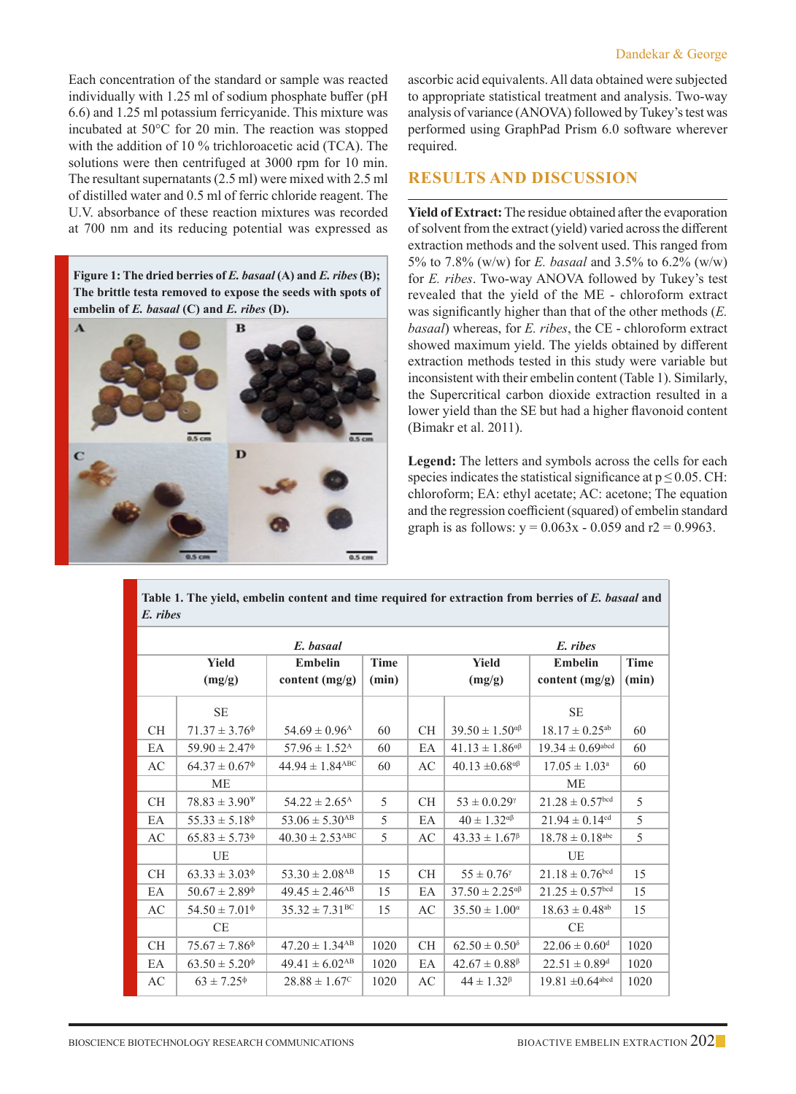Each concentration of the standard or sample was reacted individually with 1.25 ml of sodium phosphate buffer (pH 6.6) and 1.25 ml potassium ferricyanide. This mixture was incubated at 50°C for 20 min. The reaction was stopped with the addition of 10 % trichloroacetic acid (TCA). The solutions were then centrifuged at 3000 rpm for 10 min. The resultant supernatants (2.5 ml) were mixed with 2.5 ml of distilled water and 0.5 ml of ferric chloride reagent. The U.V. absorbance of these reaction mixtures was recorded at 700 nm and its reducing potential was expressed as

**Figure 1: The dried berries of** *E. basaal* **(A) and** *E. ribes* **(B); The brittle testa removed to expose the seeds with spots of embelin of** *E. basaal* **(C) and** *E. ribes* **(D).**



ascorbic acid equivalents. All data obtained were subjected to appropriate statistical treatment and analysis. Two-way analysis of variance (ANOVA) followed by Tukey's test was performed using GraphPad Prism 6.0 software wherever required.

## **Results and Discussion**

**Yield of Extract:** The residue obtained after the evaporation of solvent from the extract (yield) varied across the different extraction methods and the solvent used. This ranged from 5% to 7.8% (w/w) for *E. basaal* and 3.5% to 6.2% (w/w) for *E. ribes*. Two-way ANOVA followed by Tukey's test revealed that the yield of the ME - chloroform extract was significantly higher than that of the other methods (*E. basaal*) whereas, for *E. ribes*, the CE - chloroform extract showed maximum yield. The yields obtained by different extraction methods tested in this study were variable but inconsistent with their embelin content (Table 1). Similarly, the Supercritical carbon dioxide extraction resulted in a lower yield than the SE but had a higher flavonoid content (Bimakr et al. 2011).

**Legend:** The letters and symbols across the cells for each species indicates the statistical significance at  $p \le 0.05$ . CH: chloroform; EA: ethyl acetate; AC: acetone; The equation and the regression coefficient (squared) of embelin standard graph is as follows:  $y = 0.063x - 0.059$  and  $r2 = 0.9963$ .

**Table 1. The yield, embelin content and time required for extraction from berries of** *E. basaal* **and**  *E. ribes*

| E. ribes<br>E. basaal |                                               |                                 |             |           |                                |                                  |             |
|-----------------------|-----------------------------------------------|---------------------------------|-------------|-----------|--------------------------------|----------------------------------|-------------|
|                       | Yield                                         | <b>Embelin</b>                  | <b>Time</b> |           | Yield                          | <b>Embelin</b>                   | <b>Time</b> |
|                       | (mg/g)                                        | content (mg/g)                  | (min)       |           | (mg/g)                         | content $(mg/g)$                 | (min)       |
|                       | <b>SE</b>                                     |                                 |             |           |                                | <b>SE</b>                        |             |
| СH                    | $71.37 \pm 3.76$ <sup><math>\phi</math></sup> | $54.69 \pm 0.96$ <sup>A</sup>   | 60          | СH        | $39.50 \pm 1.50^{\alpha\beta}$ | $18.17 \pm 0.25$ <sup>ab</sup>   | 60          |
| EA                    | $59.90 \pm 2.47$ <sup><math>\phi</math></sup> | $57.96 \pm 1.52^{\rm A}$        | 60          | EA        | $41.13 \pm 1.86^{\alpha\beta}$ | $19.34 \pm 0.69$ <sup>abcd</sup> | 60          |
| AC                    | $64.37 \pm 0.67$ <sup><math>\phi</math></sup> | $44.94 \pm 1.84$ <sup>ABC</sup> | 60          | AC        | $40.13 \pm 0.68^{\alpha\beta}$ | $17.05 \pm 1.03^{\text{a}}$      | 60          |
|                       | <b>ME</b>                                     |                                 |             |           |                                | <b>ME</b>                        |             |
| CH.                   | $78.83 \pm 3.90^{\Psi}$                       | $54.22 \pm 2.65^{\rm A}$        | 5           | CH        | $53 \pm 0.0.29$ <sup>*</sup>   | $21.28 \pm 0.57$ <sup>bcd</sup>  | 5           |
| EA                    | $55.33 \pm 5.18^{\circ}$                      | $53.06 \pm 5.30$ <sup>AB</sup>  | 5           | EA        | $40 \pm 1.32^{\alpha\beta}$    | $21.94 \pm 0.14$ <sup>cd</sup>   | 5           |
| AC                    | $65.83 \pm 5.73$ <sup><math>\phi</math></sup> | $40.30 \pm 2.53$ <sup>ABC</sup> | 5           | AC        | $43.33 \pm 1.67^{\beta}$       | $18.78 \pm 0.18$ <sup>abc</sup>  | 5           |
|                       | UE                                            |                                 |             |           |                                | UE                               |             |
| <b>CH</b>             | $63.33 \pm 3.03$ <sup><math>\phi</math></sup> | $53.30 \pm 2.08$ <sup>AB</sup>  | 15          | <b>CH</b> | $55 \pm 0.76$ <sup>*</sup>     | $21.18 \pm 0.76$ bcd             | 15          |
| EA                    | $50.67 \pm 2.89$ <sup><math>\phi</math></sup> | $49.45 \pm 2.46$ <sup>AB</sup>  | 15          | EA        | $37.50 \pm 2.25^{\alpha\beta}$ | $21.25 \pm 0.57$ bcd             | 15          |
| AC                    | $54.50 \pm 7.01$ <sup><math>\phi</math></sup> | $35.32 \pm 7.31^{\rm BC}$       | 15          | AC        | $35.50 \pm 1.00^{\circ}$       | $18.63\pm0.48^{\text{ab}}$       | 15          |
|                       | CE                                            |                                 |             |           |                                | <b>CE</b>                        |             |
| СH                    | $75.67 \pm 7.86^{\circ}$                      | $47.20 \pm 1.34$ <sup>AB</sup>  | 1020        | СH        | $62.50 \pm 0.50^8$             | $22.06 \pm 0.60$ <sup>d</sup>    | 1020        |
| EA                    | $63.50 \pm 5.20^{\circ}$                      | $49.41 \pm 6.02$ <sup>AB</sup>  | 1020        | EA        | $42.67 \pm 0.88^{\circ}$       | $22.51 \pm 0.89$ <sup>d</sup>    | 1020        |
| AC                    | $63 \pm 7.25^{\circ}$                         | $28.88 \pm 1.67^c$              | 1020        | AC        | $44 \pm 1.32^{\beta}$          | $19.81 \pm 0.64$ <sup>abcd</sup> | 1020        |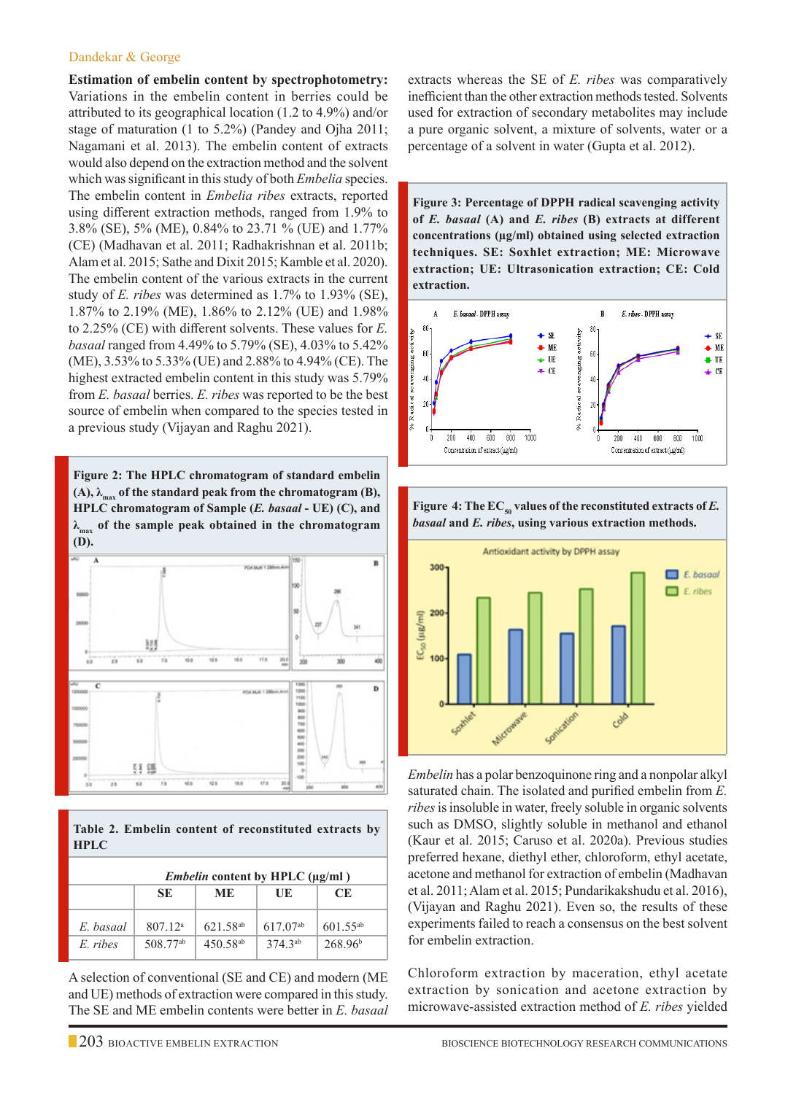#### Dandekar & George

**Estimation of embelin content by spectrophotometry:** Variations in the embelin content in berries could be attributed to its geographical location (1.2 to 4.9%) and/or stage of maturation (1 to 5.2%) (Pandey and Ojha 2011; Nagamani et al. 2013). The embelin content of extracts would also depend on the extraction method and the solvent which was significant in this study of both *Embelia* species. The embelin content in *Embelia ribes* extracts, reported using different extraction methods, ranged from 1.9% to 3.8% (SE), 5% (ME), 0.84% to 23.71 % (UE) and 1.77% (CE) (Madhavan et al. 2011; Radhakrishnan et al. 2011b; Alam et al. 2015; Sathe and Dixit 2015; Kamble et al. 2020). The embelin content of the various extracts in the current study of *E. ribes* was determined as 1.7% to 1.93% (SE), 1.87% to 2.19% (ME), 1.86% to 2.12% (UE) and 1.98% to 2.25% (CE) with different solvents. These values for *E. basaal* ranged from 4.49% to 5.79% (SE), 4.03% to 5.42% (ME), 3.53% to 5.33% (UE) and 2.88% to 4.94% (CE). The highest extracted embelin content in this study was 5.79% from *E. basaal* berries. *E. ribes* was reported to be the best source of embelin when compared to the species tested in a previous study (Vijayan and Raghu 2021).

**Figure 2: The HPLC chromatogram of standard embelin (A),**  $λ_{max}$  **of the standard peak from the chromatogram (B), HPLC chromatogram of Sample (***E. basaal* **- UE) (C), and λmax of the sample peak obtained in the chromatogram (D).**



|             |  | Table 2. Embelin content of reconstituted extracts by |  |
|-------------|--|-------------------------------------------------------|--|
| <b>HPLC</b> |  |                                                       |  |

| <i>Embelin</i> content by HPLC $(\mu \varrho/m)$ |                      |                      |                      |                     |  |  |  |
|--------------------------------------------------|----------------------|----------------------|----------------------|---------------------|--|--|--|
|                                                  | SE                   | ME.                  | UE                   | CE.                 |  |  |  |
| E. basaal                                        | $807.12^{\rm a}$     | 621.58 <sup>ab</sup> | 617.07 <sup>ab</sup> | $601.55^{ab}$       |  |  |  |
| E ribes                                          | 508.77 <sup>ab</sup> | $450.58^{ab}$        | $374.3^{ab}$         | 268.96 <sup>b</sup> |  |  |  |

A selection of conventional (SE and CE) and modern (ME and UE) methods of extraction were compared in this study. The SE and ME embelin contents were better in *E. basaal*  extracts whereas the SE of *E. ribes* was comparatively inefficient than the other extraction methods tested. Solvents used for extraction of secondary metabolites may include a pure organic solvent, a mixture of solvents, water or a percentage of a solvent in water (Gupta et al. 2012).

**Figure 3: Percentage of DPPH radical scavenging activity of** *E. basaal* **(A) and** *E. ribes* **(B) extracts at different concentrations (µg/ml) obtained using selected extraction techniques. SE: Soxhlet extraction; ME: Microwave extraction; UE: Ultrasonication extraction; CE: Cold extraction.**





*Embelin* has a polar benzoquinone ring and a nonpolar alkyl saturated chain. The isolated and purified embelin from *E. ribes* is insoluble in water, freely soluble in organic solvents such as DMSO, slightly soluble in methanol and ethanol (Kaur et al. 2015; Caruso et al. 2020a). Previous studies preferred hexane, diethyl ether, chloroform, ethyl acetate, acetone and methanol for extraction of embelin (Madhavan et al. 2011; Alam et al. 2015; Pundarikakshudu et al. 2016), (Vijayan and Raghu 2021). Even so, the results of these experiments failed to reach a consensus on the best solvent for embelin extraction.

Chloroform extraction by maceration, ethyl acetate extraction by sonication and acetone extraction by microwave-assisted extraction method of *E. ribes* yielded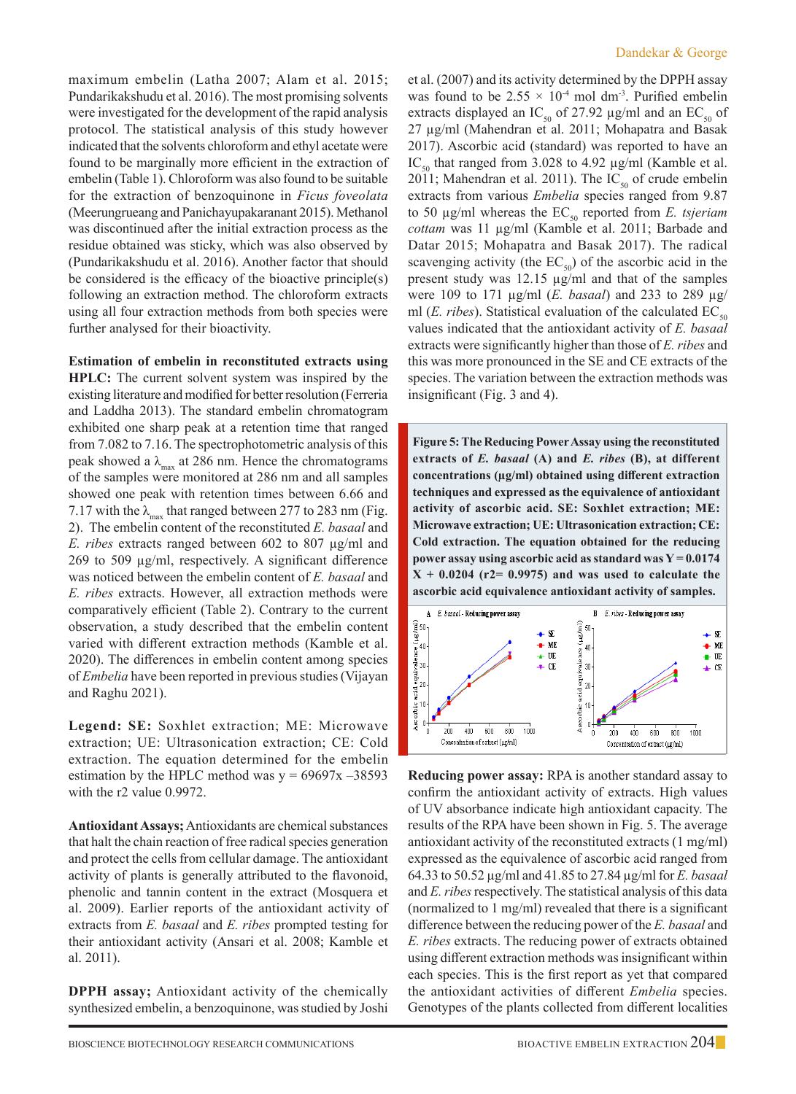maximum embelin (Latha 2007; Alam et al. 2015; Pundarikakshudu et al. 2016). The most promising solvents were investigated for the development of the rapid analysis protocol. The statistical analysis of this study however indicated that the solvents chloroform and ethyl acetate were found to be marginally more efficient in the extraction of embelin (Table 1). Chloroform was also found to be suitable for the extraction of benzoquinone in *Ficus foveolata* (Meerungrueang and Panichayupakaranant 2015). Methanol was discontinued after the initial extraction process as the residue obtained was sticky, which was also observed by (Pundarikakshudu et al. 2016). Another factor that should be considered is the efficacy of the bioactive principle(s) following an extraction method. The chloroform extracts using all four extraction methods from both species were further analysed for their bioactivity.

**Estimation of embelin in reconstituted extracts using HPLC:** The current solvent system was inspired by the existing literature and modified for better resolution (Ferreria and Laddha 2013). The standard embelin chromatogram exhibited one sharp peak at a retention time that ranged from 7.082 to 7.16. The spectrophotometric analysis of this peak showed a  $\lambda_{\text{max}}$  at 286 nm. Hence the chromatograms of the samples were monitored at 286 nm and all samples showed one peak with retention times between 6.66 and 7.17 with the  $\lambda_{\text{max}}$  that ranged between 277 to 283 nm (Fig. 2). The embelin content of the reconstituted *E. basaal* and *E. ribes* extracts ranged between 602 to 807 µg/ml and 269 to 509 µg/ml, respectively. A significant difference was noticed between the embelin content of *E. basaal* and *E. ribes* extracts. However, all extraction methods were comparatively efficient (Table 2). Contrary to the current observation, a study described that the embelin content varied with different extraction methods (Kamble et al. 2020). The differences in embelin content among species of *Embelia* have been reported in previous studies (Vijayan and Raghu 2021).

**Legend: SE:** Soxhlet extraction; ME: Microwave extraction; UE: Ultrasonication extraction; CE: Cold extraction. The equation determined for the embelin estimation by the HPLC method was  $y = 69697x - 38593$ with the r2 value 0.9972.

**Antioxidant Assays;** Antioxidants are chemical substances that halt the chain reaction of free radical species generation and protect the cells from cellular damage. The antioxidant activity of plants is generally attributed to the flavonoid, phenolic and tannin content in the extract (Mosquera et al. 2009). Earlier reports of the antioxidant activity of extracts from *E. basaal* and *E. ribes* prompted testing for their antioxidant activity (Ansari et al. 2008; Kamble et al. 2011).

**DPPH assay;** Antioxidant activity of the chemically synthesized embelin, a benzoquinone, was studied by Joshi et al. (2007) and its activity determined by the DPPH assay was found to be  $2.55 \times 10^{-4}$  mol dm<sup>-3</sup>. Purified embelin extracts displayed an IC<sub>50</sub> of 27.92  $\mu$ g/ml and an EC<sub>50</sub> of 27 µg/ml (Mahendran et al. 2011; Mohapatra and Basak 2017). Ascorbic acid (standard) was reported to have an IC<sub>50</sub> that ranged from 3.028 to 4.92  $\mu$ g/ml (Kamble et al. 2011; Mahendran et al. 2011). The  $IC_{50}$  of crude embelin extracts from various *Embelia* species ranged from 9.87 to 50  $\mu$ g/ml whereas the  $EC_{50}$  reported from *E. tsjeriam cottam* was 11 µg/ml (Kamble et al. 2011; Barbade and Datar 2015; Mohapatra and Basak 2017). The radical scavenging activity (the  $EC_{50}$ ) of the ascorbic acid in the present study was 12.15 µg/ml and that of the samples were 109 to 171 µg/ml (*E. basaal*) and 233 to 289 µg/ ml ( $E.$  *ribes*). Statistical evaluation of the calculated  $EC_{50}$ values indicated that the antioxidant activity of *E. basaal* extracts were significantly higher than those of *E. ribes* and this was more pronounced in the SE and CE extracts of the species. The variation between the extraction methods was insignificant (Fig. 3 and 4).

**Figure 5: The Reducing Power Assay using the reconstituted extracts of** *E. basaal* **(A) and** *E. ribes* **(B), at different concentrations (µg/ml) obtained using different extraction techniques and expressed as the equivalence of antioxidant activity of ascorbic acid. SE: Soxhlet extraction; ME: Microwave extraction; UE: Ultrasonication extraction; CE: Cold extraction. The equation obtained for the reducing power assay using ascorbic acid as standard was Y = 0.0174 X + 0.0204 (r2= 0.9975) and was used to calculate the ascorbic acid equivalence antioxidant activity of samples.**



**Reducing power assay:** RPA is another standard assay to confirm the antioxidant activity of extracts. High values of UV absorbance indicate high antioxidant capacity. The results of the RPA have been shown in Fig. 5. The average antioxidant activity of the reconstituted extracts (1 mg/ml) expressed as the equivalence of ascorbic acid ranged from 64.33 to 50.52 µg/ml and 41.85 to 27.84 µg/ml for *E. basaal*  and *E. ribes* respectively. The statistical analysis of this data (normalized to 1 mg/ml) revealed that there is a significant difference between the reducing power of the *E. basaal* and *E. ribes* extracts. The reducing power of extracts obtained using different extraction methods was insignificant within each species. This is the first report as yet that compared the antioxidant activities of different *Embelia* species. Genotypes of the plants collected from different localities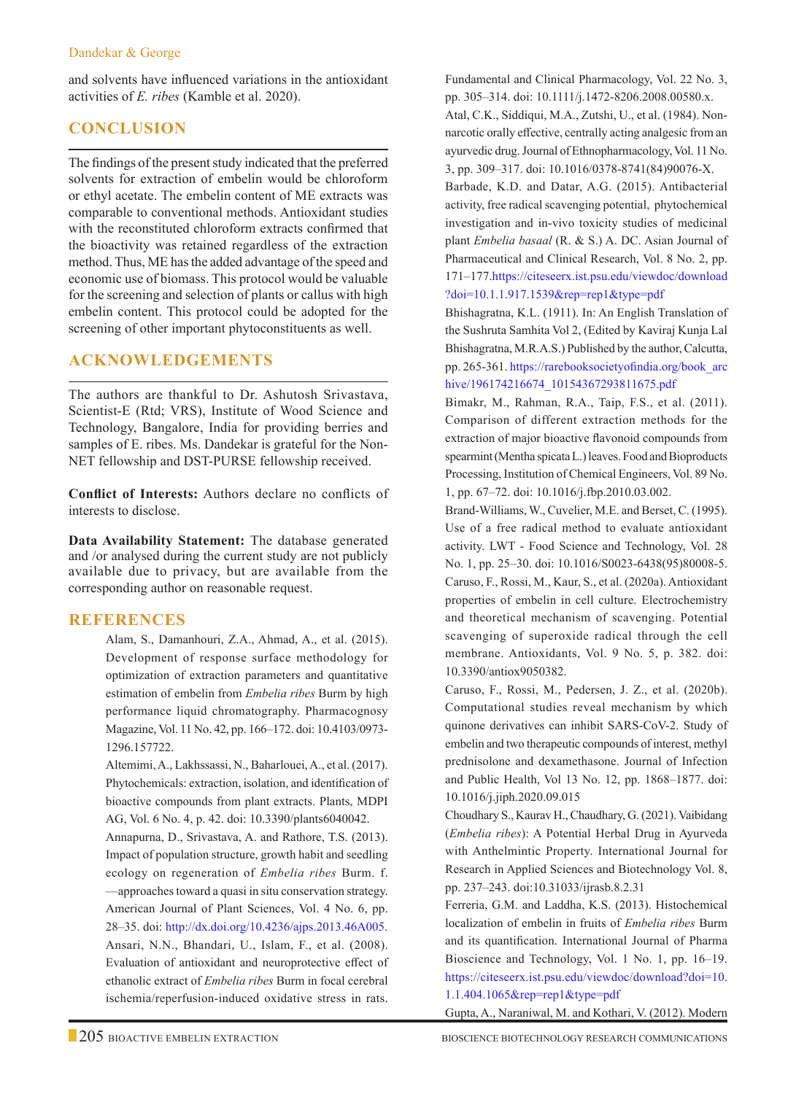#### Dandekar & George

and solvents have influenced variations in the antioxidant activities of *E. ribes* (Kamble et al. 2020).

# **Conclusion**

The findings of the present study indicated that the preferred solvents for extraction of embelin would be chloroform or ethyl acetate. The embelin content of ME extracts was comparable to conventional methods. Antioxidant studies with the reconstituted chloroform extracts confirmed that the bioactivity was retained regardless of the extraction method. Thus, ME has the added advantage of the speed and economic use of biomass. This protocol would be valuable for the screening and selection of plants or callus with high embelin content. This protocol could be adopted for the screening of other important phytoconstituents as well.

# **Acknowledgements**

The authors are thankful to Dr. Ashutosh Srivastava, Scientist-E (Rtd; VRS), Institute of Wood Science and Technology, Bangalore, India for providing berries and samples of E. ribes. Ms. Dandekar is grateful for the Non-NET fellowship and DST-PURSE fellowship received.

**Conflict of Interests:** Authors declare no conflicts of interests to disclose.

**Data Availability Statement:** The database generated and /or analysed during the current study are not publicly available due to privacy, but are available from the corresponding author on reasonable request.

# **REFERENCES**

Alam, S., Damanhouri, Z.A., Ahmad, A., et al. (2015). Development of response surface methodology for optimization of extraction parameters and quantitative estimation of embelin from *Embelia ribes* Burm by high performance liquid chromatography. Pharmacognosy Magazine, Vol. 11 No. 42, pp. 166–172. doi: 10.4103/0973- 1296.157722.

Altemimi, A., Lakhssassi, N., Baharlouei, A., et al. (2017). Phytochemicals: extraction, isolation, and identification of bioactive compounds from plant extracts. Plants, MDPI AG, Vol. 6 No. 4, p. 42. doi: 10.3390/plants6040042.

Annapurna, D., Srivastava, A. and Rathore, T.S. (2013). Impact of population structure, growth habit and seedling ecology on regeneration of *Embelia ribes* Burm. f. —approaches toward a quasi in situ conservation strategy. American Journal of Plant Sciences, Vol. 4 No. 6, pp. 28–35. doi: http://dx.doi.org/10.4236/ajps.2013.46A005. Ansari, N.N., Bhandari, U., Islam, F., et al. (2008). Evaluation of antioxidant and neuroprotective effect of ethanolic extract of *Embelia ribes* Burm in focal cerebral ischemia/reperfusion-induced oxidative stress in rats.

Fundamental and Clinical Pharmacology, Vol. 22 No. 3, pp. 305–314. doi: 10.1111/j.1472-8206.2008.00580.x. Atal, C.K., Siddiqui, M.A., Zutshi, U., et al. (1984). Nonnarcotic orally effective, centrally acting analgesic from an ayurvedic drug. Journal of Ethnopharmacology, Vol. 11 No. 3, pp. 309–317. doi: 10.1016/0378-8741(84)90076-X.

 Barbade, K.D. and Datar, A.G. (2015). Antibacterial activity, free radical scavenging potential, phytochemical investigation and in-vivo toxicity studies of medicinal plant *Embelia basaal* (R. & S.) A. DC. Asian Journal of Pharmaceutical and Clinical Research, Vol. 8 No. 2, pp. 171–177.https://citeseerx.ist.psu.edu/viewdoc/download ?doi=10.1.1.917.1539&rep=rep1&type=pdf

 Bhishagratna, K.L. (1911). In: An English Translation of the Sushruta Samhita Vol 2, (Edited by Kaviraj Kunja Lal Bhishagratna, M.R.A.S.) Published by the author, Calcutta, pp. 265-361. https://rarebooksocietyofindia.org/book\_arc hive/196174216674\_10154367293811675.pdf

 Bimakr, M., Rahman, R.A., Taip, F.S., et al. (2011). Comparison of different extraction methods for the extraction of major bioactive flavonoid compounds from spearmint (Mentha spicata L.) leaves. Food and Bioproducts Processing, Institution of Chemical Engineers, Vol. 89 No. 1, pp. 67–72. doi: 10.1016/j.fbp.2010.03.002.

 Brand-Williams, W., Cuvelier, M.E. and Berset, C. (1995). Use of a free radical method to evaluate antioxidant activity. LWT - Food Science and Technology, Vol. 28 No. 1, pp. 25–30. doi: 10.1016/S0023-6438(95)80008-5. Caruso, F., Rossi, M., Kaur, S., et al. (2020a). Antioxidant properties of embelin in cell culture. Electrochemistry and theoretical mechanism of scavenging. Potential scavenging of superoxide radical through the cell membrane. Antioxidants, Vol. 9 No. 5, p. 382. doi: 10.3390/antiox9050382.

Caruso, F., Rossi, M., Pedersen, J. Z., et al. (2020b). Computational studies reveal mechanism by which quinone derivatives can inhibit SARS-CoV-2. Study of embelin and two therapeutic compounds of interest, methyl prednisolone and dexamethasone. Journal of Infection and Public Health, Vol 13 No. 12, pp. 1868–1877. doi: 10.1016/j.jiph.2020.09.015

Choudhary S., Kaurav H., Chaudhary, G. (2021). Vaibidang (*Embelia ribes*): A Potential Herbal Drug in Ayurveda with Anthelmintic Property. International Journal for Research in Applied Sciences and Biotechnology Vol. 8, pp. 237–243. doi:10.31033/ijrasb.8.2.31

Ferreria, G.M. and Laddha, K.S. (2013). Histochemical localization of embelin in fruits of *Embelia ribes* Burm and its quantification. International Journal of Pharma Bioscience and Technology, Vol. 1 No. 1, pp. 16–19. https://citeseerx.ist.psu.edu/viewdoc/download?doi=10. 1.1.404.1065&rep=rep1&type=pdf

Gupta, A., Naraniwal, M. and Kothari, V. (2012). Modern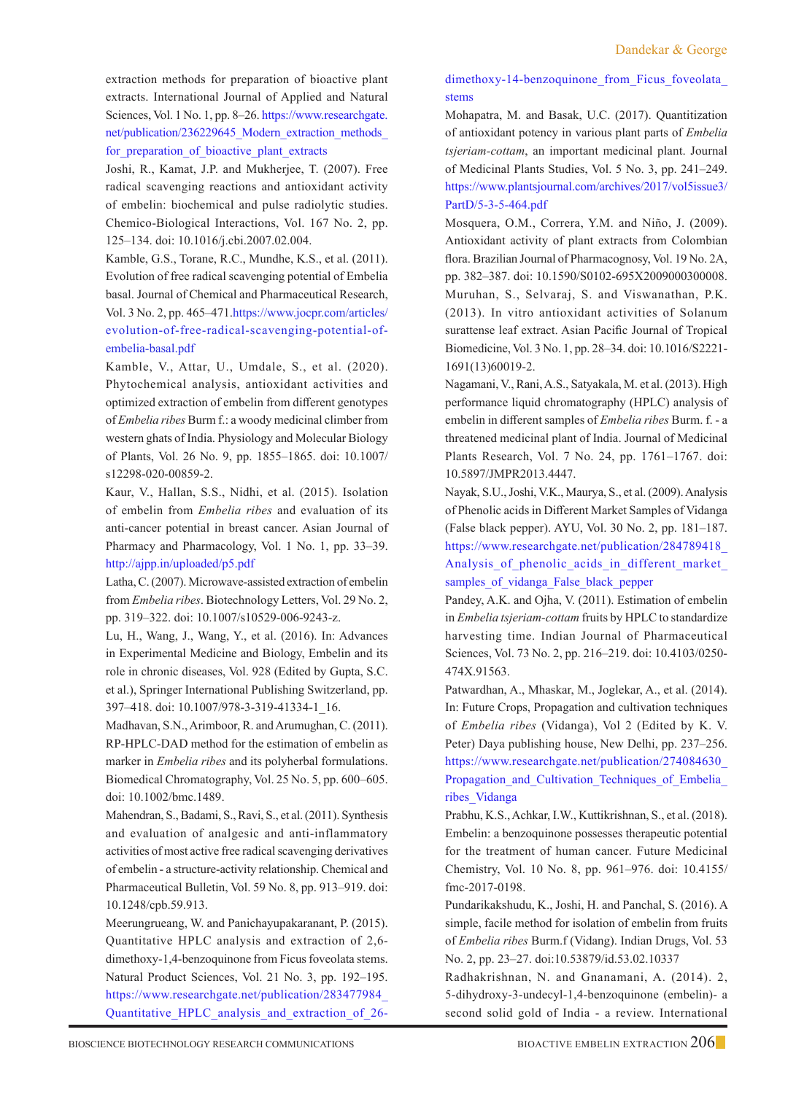extraction methods for preparation of bioactive plant extracts. International Journal of Applied and Natural Sciences, Vol. 1 No. 1, pp. 8–26. https://www.researchgate. net/publication/236229645\_Modern\_extraction\_methods for\_preparation\_of\_bioactive\_plant\_extracts

Joshi, R., Kamat, J.P. and Mukherjee, T. (2007). Free radical scavenging reactions and antioxidant activity of embelin: biochemical and pulse radiolytic studies. Chemico-Biological Interactions, Vol. 167 No. 2, pp. 125–134. doi: 10.1016/j.cbi.2007.02.004.

Kamble, G.S., Torane, R.C., Mundhe, K.S., et al. (2011). Evolution of free radical scavenging potential of Embelia basal. Journal of Chemical and Pharmaceutical Research, Vol. 3 No. 2, pp. 465–471.https://www.jocpr.com/articles/ evolution-of-free-radical-scavenging-potential-ofembelia-basal.pdf

Kamble, V., Attar, U., Umdale, S., et al. (2020). Phytochemical analysis, antioxidant activities and optimized extraction of embelin from different genotypes of *Embelia ribes* Burm f.: a woody medicinal climber from western ghats of India. Physiology and Molecular Biology of Plants, Vol. 26 No. 9, pp. 1855–1865. doi: 10.1007/ s12298-020-00859-2.

Kaur, V., Hallan, S.S., Nidhi, et al. (2015). Isolation of embelin from *Embelia ribes* and evaluation of its anti-cancer potential in breast cancer. Asian Journal of Pharmacy and Pharmacology, Vol. 1 No. 1, pp. 33–39. http://ajpp.in/uploaded/p5.pdf

 Latha, C. (2007). Microwave-assisted extraction of embelin from *Embelia ribes*. Biotechnology Letters, Vol. 29 No. 2, pp. 319–322. doi: 10.1007/s10529-006-9243-z.

 Lu, H., Wang, J., Wang, Y., et al. (2016). In: Advances in Experimental Medicine and Biology, Embelin and its role in chronic diseases, Vol. 928 (Edited by Gupta, S.C. et al.), Springer International Publishing Switzerland, pp. 397–418. doi: 10.1007/978-3-319-41334-1\_16.

 Madhavan, S.N., Arimboor, R. and Arumughan, C. (2011). RP-HPLC-DAD method for the estimation of embelin as marker in *Embelia ribes* and its polyherbal formulations. Biomedical Chromatography, Vol. 25 No. 5, pp. 600–605. doi: 10.1002/bmc.1489.

 Mahendran, S., Badami, S., Ravi, S., et al. (2011). Synthesis and evaluation of analgesic and anti-inflammatory activities of most active free radical scavenging derivatives of embelin - a structure-activity relationship. Chemical and Pharmaceutical Bulletin, Vol. 59 No. 8, pp. 913–919. doi: 10.1248/cpb.59.913.

 Meerungrueang, W. and Panichayupakaranant, P. (2015). Quantitative HPLC analysis and extraction of 2,6 dimethoxy-1,4-benzoquinone from Ficus foveolata stems. Natural Product Sciences, Vol. 21 No. 3, pp. 192–195. https://www.researchgate.net/publication/283477984\_ Quantitative\_HPLC\_analysis\_and\_extraction\_of\_26-

### dimethoxy-14-benzoquinone from Ficus foveolata stems

 Mohapatra, M. and Basak, U.C. (2017). Quantitization of antioxidant potency in various plant parts of *Embelia tsjeriam-cottam*, an important medicinal plant. Journal of Medicinal Plants Studies, Vol. 5 No. 3, pp. 241–249. https://www.plantsjournal.com/archives/2017/vol5issue3/ PartD/5-3-5-464.pdf

 Mosquera, O.M., Correra, Y.M. and Niño, J. (2009). Antioxidant activity of plant extracts from Colombian flora. Brazilian Journal of Pharmacognosy, Vol. 19 No. 2A, pp. 382–387. doi: 10.1590/S0102-695X2009000300008. Muruhan, S., Selvaraj, S. and Viswanathan, P.K. (2013). In vitro antioxidant activities of Solanum surattense leaf extract. Asian Pacific Journal of Tropical Biomedicine, Vol. 3 No. 1, pp. 28–34. doi: 10.1016/S2221- 1691(13)60019-2.

 Nagamani, V., Rani, A.S., Satyakala, M. et al. (2013). High performance liquid chromatography (HPLC) analysis of embelin in different samples of *Embelia ribes* Burm. f. - a threatened medicinal plant of India. Journal of Medicinal Plants Research, Vol. 7 No. 24, pp. 1761–1767. doi: 10.5897/JMPR2013.4447.

 Nayak, S.U., Joshi, V.K., Maurya, S., et al. (2009). Analysis of Phenolic acids in Different Market Samples of Vidanga (False black pepper). AYU, Vol. 30 No. 2, pp. 181–187. https://www.researchgate.net/publication/284789418\_ Analysis of phenolic acids in different market samples\_of\_vidanga\_False\_black\_pepper

Pandey, A.K. and Ojha, V. (2011). Estimation of embelin in *Embelia tsjeriam-cottam* fruits by HPLC to standardize harvesting time. Indian Journal of Pharmaceutical Sciences, Vol. 73 No. 2, pp. 216–219. doi: 10.4103/0250- 474X.91563.

Patwardhan, A., Mhaskar, M., Joglekar, A., et al. (2014). In: Future Crops, Propagation and cultivation techniques of *Embelia ribes* (Vidanga), Vol 2 (Edited by K. V. Peter) Daya publishing house, New Delhi, pp. 237–256. https://www.researchgate.net/publication/274084630\_ Propagation and Cultivation Techniques of Embelia ribes\_Vidanga

Prabhu, K.S., Achkar, I.W., Kuttikrishnan, S., et al. (2018). Embelin: a benzoquinone possesses therapeutic potential for the treatment of human cancer. Future Medicinal Chemistry, Vol. 10 No. 8, pp. 961–976. doi: 10.4155/ fmc-2017-0198.

Pundarikakshudu, K., Joshi, H. and Panchal, S. (2016). A simple, facile method for isolation of embelin from fruits of *Embelia ribes* Burm.f (Vidang). Indian Drugs, Vol. 53 No. 2, pp. 23–27. doi:10.53879/id.53.02.10337

Radhakrishnan, N. and Gnanamani, A. (2014). 2, 5-dihydroxy-3-undecyl-1,4-benzoquinone (embelin)- a second solid gold of India - a review. International